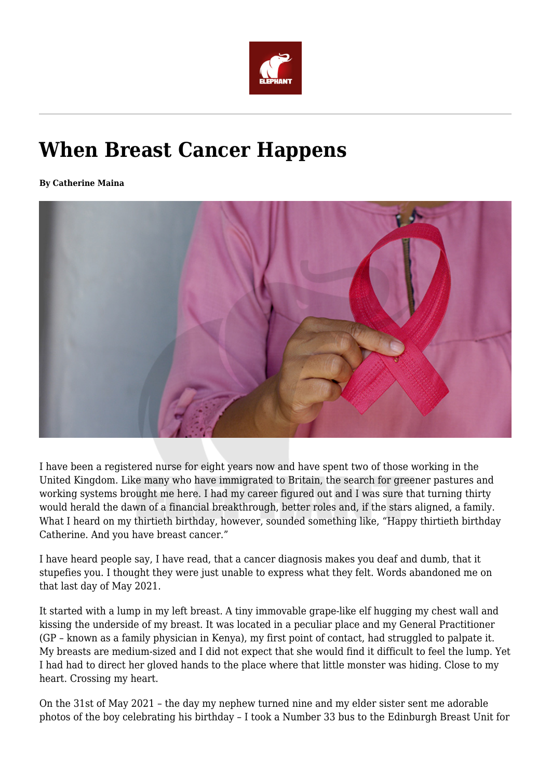

## **When Breast Cancer Happens**

**By Catherine Maina**



I have been a registered nurse for eight years now and have spent two of those working in the United Kingdom. Like many who have immigrated to Britain, the search for greener pastures and working systems brought me here. I had my career figured out and I was sure that turning thirty would herald the dawn of a financial breakthrough, better roles and, if the stars aligned, a family. What I heard on my thirtieth birthday, however, sounded something like, "Happy thirtieth birthday Catherine. And you have breast cancer."

I have heard people say, I have read, that a cancer diagnosis makes you deaf and dumb, that it stupefies you. I thought they were just unable to express what they felt. Words abandoned me on that last day of May 2021.

It started with a lump in my left breast. A tiny immovable grape-like elf hugging my chest wall and kissing the underside of my breast. It was located in a peculiar place and my General Practitioner (GP – known as a family physician in Kenya), my first point of contact, had struggled to palpate it. My breasts are medium-sized and I did not expect that she would find it difficult to feel the lump. Yet I had had to direct her gloved hands to the place where that little monster was hiding. Close to my heart. Crossing my heart.

On the 31st of May 2021 – the day my nephew turned nine and my elder sister sent me adorable photos of the boy celebrating his birthday – I took a Number 33 bus to the Edinburgh Breast Unit for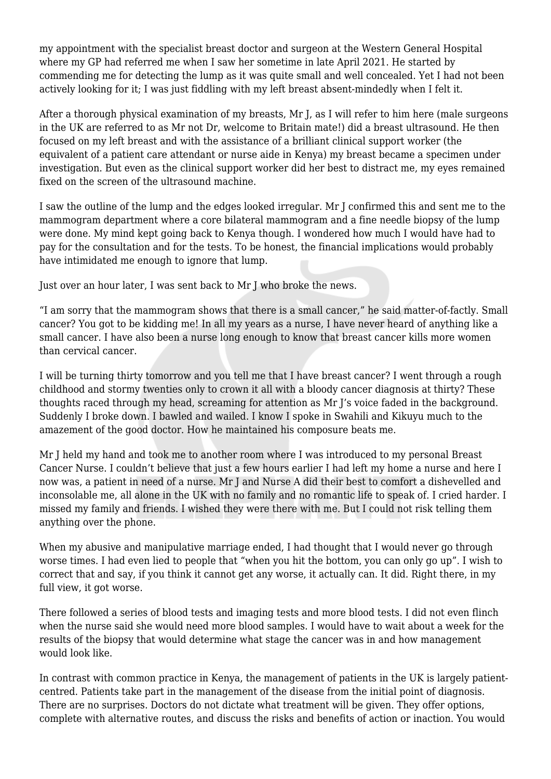my appointment with the specialist breast doctor and surgeon at the Western General Hospital where my GP had referred me when I saw her sometime in late April 2021. He started by commending me for detecting the lump as it was quite small and well concealed. Yet I had not been actively looking for it; I was just fiddling with my left breast absent-mindedly when I felt it.

After a thorough physical examination of my breasts, Mr J, as I will refer to him here (male surgeons in the UK are referred to as Mr not Dr, welcome to Britain mate!) did a breast ultrasound. He then focused on my left breast and with the assistance of a brilliant clinical support worker (the equivalent of a patient care attendant or nurse aide in Kenya) my breast became a specimen under investigation. But even as the clinical support worker did her best to distract me, my eyes remained fixed on the screen of the ultrasound machine.

I saw the outline of the lump and the edges looked irregular. Mr J confirmed this and sent me to the mammogram department where a core bilateral mammogram and a fine needle biopsy of the lump were done. My mind kept going back to Kenya though. I wondered how much I would have had to pay for the consultation and for the tests. To be honest, the financial implications would probably have intimidated me enough to ignore that lump.

Just over an hour later, I was sent back to Mr J who broke the news.

"I am sorry that the mammogram shows that there is a small cancer," he said matter-of-factly. Small cancer? You got to be kidding me! In all my years as a nurse, I have never heard of anything like a small cancer. I have also been a nurse long enough to know that breast cancer kills more women than cervical cancer.

I will be turning thirty tomorrow and you tell me that I have breast cancer? I went through a rough childhood and stormy twenties only to crown it all with a bloody cancer diagnosis at thirty? These thoughts raced through my head, screaming for attention as Mr J's voice faded in the background. Suddenly I broke down. I bawled and wailed. I know I spoke in Swahili and Kikuyu much to the amazement of the good doctor. How he maintained his composure beats me.

Mr J held my hand and took me to another room where I was introduced to my personal Breast Cancer Nurse. I couldn't believe that just a few hours earlier I had left my home a nurse and here I now was, a patient in need of a nurse. Mr J and Nurse A did their best to comfort a dishevelled and inconsolable me, all alone in the UK with no family and no romantic life to speak of. I cried harder. I missed my family and friends. I wished they were there with me. But I could not risk telling them anything over the phone.

When my abusive and manipulative marriage ended, I had thought that I would never go through worse times. I had even lied to people that "when you hit the bottom, you can only go up". I wish to correct that and say, if you think it cannot get any worse, it actually can. It did. Right there, in my full view, it got worse.

There followed a series of blood tests and imaging tests and more blood tests. I did not even flinch when the nurse said she would need more blood samples. I would have to wait about a week for the results of the biopsy that would determine what stage the cancer was in and how management would look like.

In contrast with common practice in Kenya, the management of patients in the UK is largely patientcentred. Patients take part in the management of the disease from the initial point of diagnosis. There are no surprises. Doctors do not dictate what treatment will be given. They offer options, complete with alternative routes, and discuss the risks and benefits of action or inaction. You would